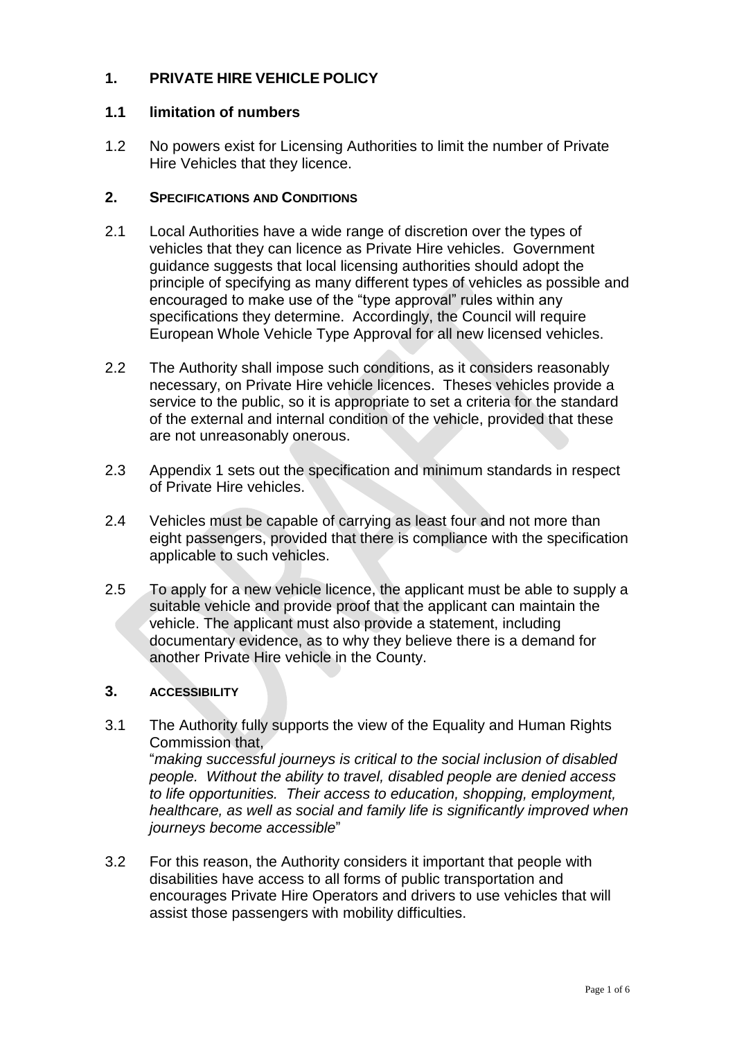# **1. PRIVATE HIRE VEHICLE POLICY**

### **1.1 limitation of numbers**

1.2 No powers exist for Licensing Authorities to limit the number of Private Hire Vehicles that they licence.

## **2. SPECIFICATIONS AND CONDITIONS**

- 2.1 Local Authorities have a wide range of discretion over the types of vehicles that they can licence as Private Hire vehicles. Government guidance suggests that local licensing authorities should adopt the principle of specifying as many different types of vehicles as possible and encouraged to make use of the "type approval" rules within any specifications they determine. Accordingly, the Council will require European Whole Vehicle Type Approval for all new licensed vehicles.
- 2.2 The Authority shall impose such conditions, as it considers reasonably necessary, on Private Hire vehicle licences. Theses vehicles provide a service to the public, so it is appropriate to set a criteria for the standard of the external and internal condition of the vehicle, provided that these are not unreasonably onerous.
- 2.3 Appendix 1 sets out the specification and minimum standards in respect of Private Hire vehicles.
- 2.4 Vehicles must be capable of carrying as least four and not more than eight passengers, provided that there is compliance with the specification applicable to such vehicles.
- 2.5 To apply for a new vehicle licence, the applicant must be able to supply a suitable vehicle and provide proof that the applicant can maintain the vehicle. The applicant must also provide a statement, including documentary evidence, as to why they believe there is a demand for another Private Hire vehicle in the County.

### **3. ACCESSIBILITY**

- 3.1 The Authority fully supports the view of the Equality and Human Rights Commission that, "*making successful journeys is critical to the social inclusion of disabled people. Without the ability to travel, disabled people are denied access to life opportunities. Their access to education, shopping, employment, healthcare, as well as social and family life is significantly improved when journeys become accessible*"
- 3.2 For this reason, the Authority considers it important that people with disabilities have access to all forms of public transportation and encourages Private Hire Operators and drivers to use vehicles that will assist those passengers with mobility difficulties.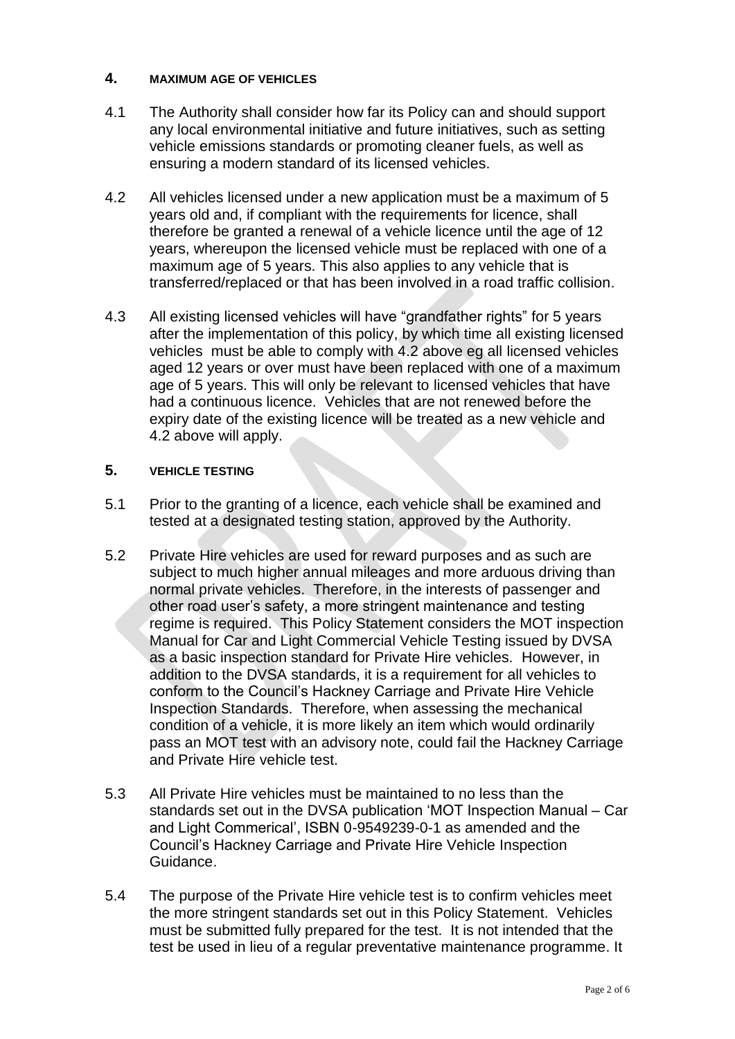### **4. MAXIMUM AGE OF VEHICLES**

- 4.1 The Authority shall consider how far its Policy can and should support any local environmental initiative and future initiatives, such as setting vehicle emissions standards or promoting cleaner fuels, as well as ensuring a modern standard of its licensed vehicles.
- 4.2 All vehicles licensed under a new application must be a maximum of 5 years old and, if compliant with the requirements for licence, shall therefore be granted a renewal of a vehicle licence until the age of 12 years, whereupon the licensed vehicle must be replaced with one of a maximum age of 5 years. This also applies to any vehicle that is transferred/replaced or that has been involved in a road traffic collision.
- 4.3 All existing licensed vehicles will have "grandfather rights" for 5 years after the implementation of this policy, by which time all existing licensed vehicles must be able to comply with 4.2 above eg all licensed vehicles aged 12 years or over must have been replaced with one of a maximum age of 5 years. This will only be relevant to licensed vehicles that have had a continuous licence. Vehicles that are not renewed before the expiry date of the existing licence will be treated as a new vehicle and 4.2 above will apply.

### **5. VEHICLE TESTING**

- 5.1 Prior to the granting of a licence, each vehicle shall be examined and tested at a designated testing station, approved by the Authority.
- 5.2 Private Hire vehicles are used for reward purposes and as such are subject to much higher annual mileages and more arduous driving than normal private vehicles. Therefore, in the interests of passenger and other road user's safety, a more stringent maintenance and testing regime is required. This Policy Statement considers the MOT inspection Manual for Car and Light Commercial Vehicle Testing issued by DVSA as a basic inspection standard for Private Hire vehicles. However, in addition to the DVSA standards, it is a requirement for all vehicles to conform to the Council's Hackney Carriage and Private Hire Vehicle Inspection Standards. Therefore, when assessing the mechanical condition of a vehicle, it is more likely an item which would ordinarily pass an MOT test with an advisory note, could fail the Hackney Carriage and Private Hire vehicle test.
- 5.3 All Private Hire vehicles must be maintained to no less than the standards set out in the DVSA publication 'MOT Inspection Manual – Car and Light Commerical', ISBN 0-9549239-0-1 as amended and the Council's Hackney Carriage and Private Hire Vehicle Inspection Guidance.
- 5.4 The purpose of the Private Hire vehicle test is to confirm vehicles meet the more stringent standards set out in this Policy Statement. Vehicles must be submitted fully prepared for the test. It is not intended that the test be used in lieu of a regular preventative maintenance programme. It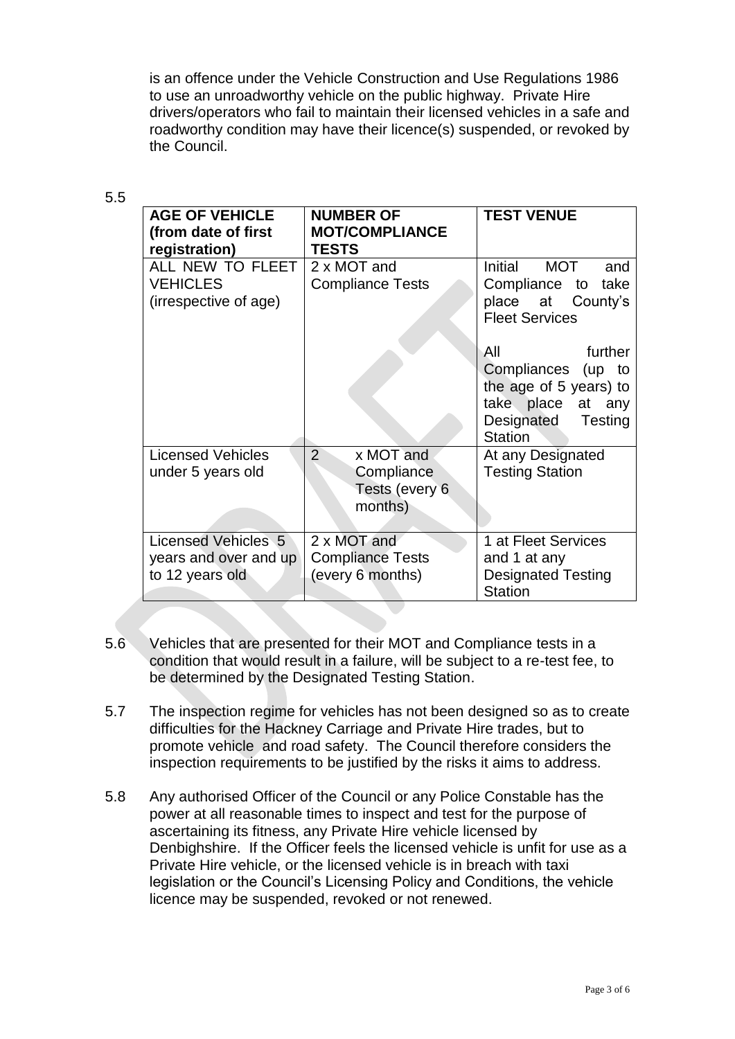is an offence under the Vehicle Construction and Use Regulations 1986 to use an unroadworthy vehicle on the public highway. Private Hire drivers/operators who fail to maintain their licensed vehicles in a safe and roadworthy condition may have their licence(s) suspended, or revoked by the Council.

| <b>AGE OF VEHICLE</b><br>(from date of first<br>registration)   | <b>NUMBER OF</b><br><b>MOT/COMPLIANCE</b><br><b>TESTS</b>  | <b>TEST VENUE</b>                                                                                                           |
|-----------------------------------------------------------------|------------------------------------------------------------|-----------------------------------------------------------------------------------------------------------------------------|
| ALL NEW TO FLEET<br><b>VEHICLES</b><br>(irrespective of age)    | 2 x MOT and<br><b>Compliance Tests</b>                     | Initial MOT and<br>Compliance to take<br>place at County's<br><b>Fleet Services</b>                                         |
|                                                                 |                                                            | further<br>All<br>Compliances (up to<br>the age of 5 years) to<br>take place at any<br>Designated Testing<br><b>Station</b> |
| <b>Licensed Vehicles</b>                                        | x MOT and<br>2 <sup>1</sup>                                | At any Designated                                                                                                           |
| under 5 years old                                               | Compliance<br>Tests (every 6<br>months)                    | <b>Testing Station</b>                                                                                                      |
| Licensed Vehicles 5<br>years and over and up<br>to 12 years old | 2 x MOT and<br><b>Compliance Tests</b><br>(every 6 months) | 1 at Fleet Services<br>and 1 at any<br><b>Designated Testing</b><br><b>Station</b>                                          |

### 5.5

- 5.6 Vehicles that are presented for their MOT and Compliance tests in a condition that would result in a failure, will be subject to a re-test fee, to be determined by the Designated Testing Station.
- 5.7 The inspection regime for vehicles has not been designed so as to create difficulties for the Hackney Carriage and Private Hire trades, but to promote vehicle and road safety. The Council therefore considers the inspection requirements to be justified by the risks it aims to address.
- 5.8 Any authorised Officer of the Council or any Police Constable has the power at all reasonable times to inspect and test for the purpose of ascertaining its fitness, any Private Hire vehicle licensed by Denbighshire. If the Officer feels the licensed vehicle is unfit for use as a Private Hire vehicle, or the licensed vehicle is in breach with taxi legislation or the Council's Licensing Policy and Conditions, the vehicle licence may be suspended, revoked or not renewed.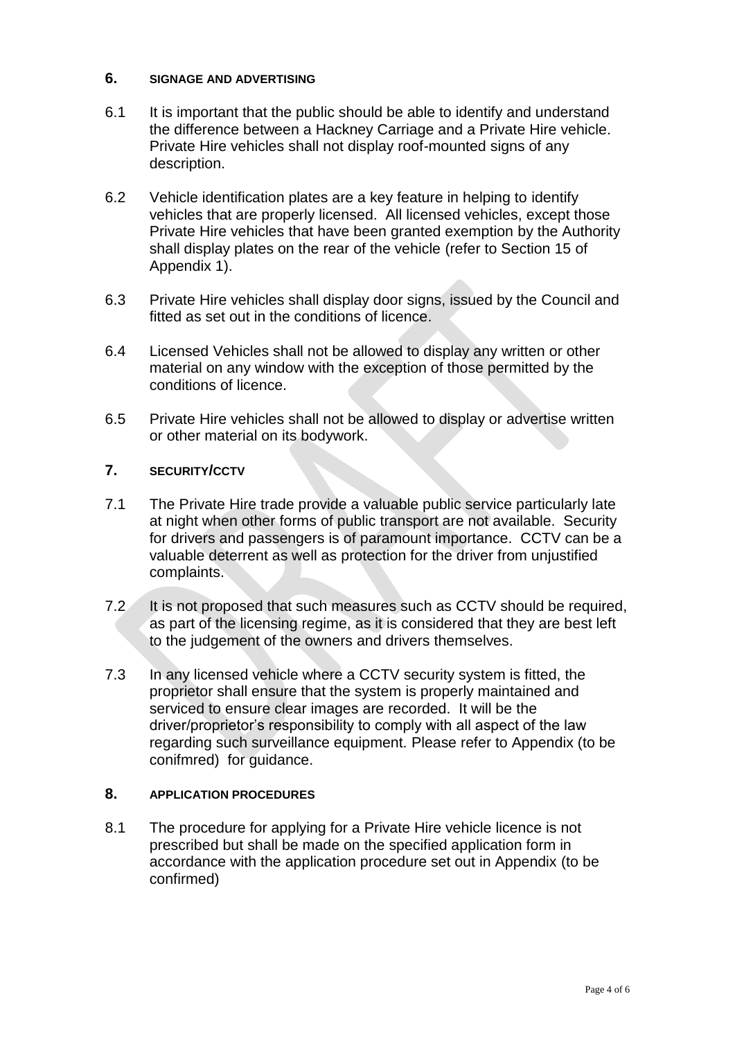### **6. SIGNAGE AND ADVERTISING**

- 6.1 It is important that the public should be able to identify and understand the difference between a Hackney Carriage and a Private Hire vehicle. Private Hire vehicles shall not display roof-mounted signs of any description.
- 6.2 Vehicle identification plates are a key feature in helping to identify vehicles that are properly licensed. All licensed vehicles, except those Private Hire vehicles that have been granted exemption by the Authority shall display plates on the rear of the vehicle (refer to Section 15 of Appendix 1).
- 6.3 Private Hire vehicles shall display door signs, issued by the Council and fitted as set out in the conditions of licence.
- 6.4 Licensed Vehicles shall not be allowed to display any written or other material on any window with the exception of those permitted by the conditions of licence.
- 6.5 Private Hire vehicles shall not be allowed to display or advertise written or other material on its bodywork.

### **7. SECURITY/CCTV**

- 7.1 The Private Hire trade provide a valuable public service particularly late at night when other forms of public transport are not available. Security for drivers and passengers is of paramount importance. CCTV can be a valuable deterrent as well as protection for the driver from unjustified complaints.
- 7.2 It is not proposed that such measures such as CCTV should be required, as part of the licensing regime, as it is considered that they are best left to the judgement of the owners and drivers themselves.
- 7.3 In any licensed vehicle where a CCTV security system is fitted, the proprietor shall ensure that the system is properly maintained and serviced to ensure clear images are recorded. It will be the driver/proprietor's responsibility to comply with all aspect of the law regarding such surveillance equipment. Please refer to Appendix (to be conifmred) for guidance.

#### **8. APPLICATION PROCEDURES**

8.1 The procedure for applying for a Private Hire vehicle licence is not prescribed but shall be made on the specified application form in accordance with the application procedure set out in Appendix (to be confirmed)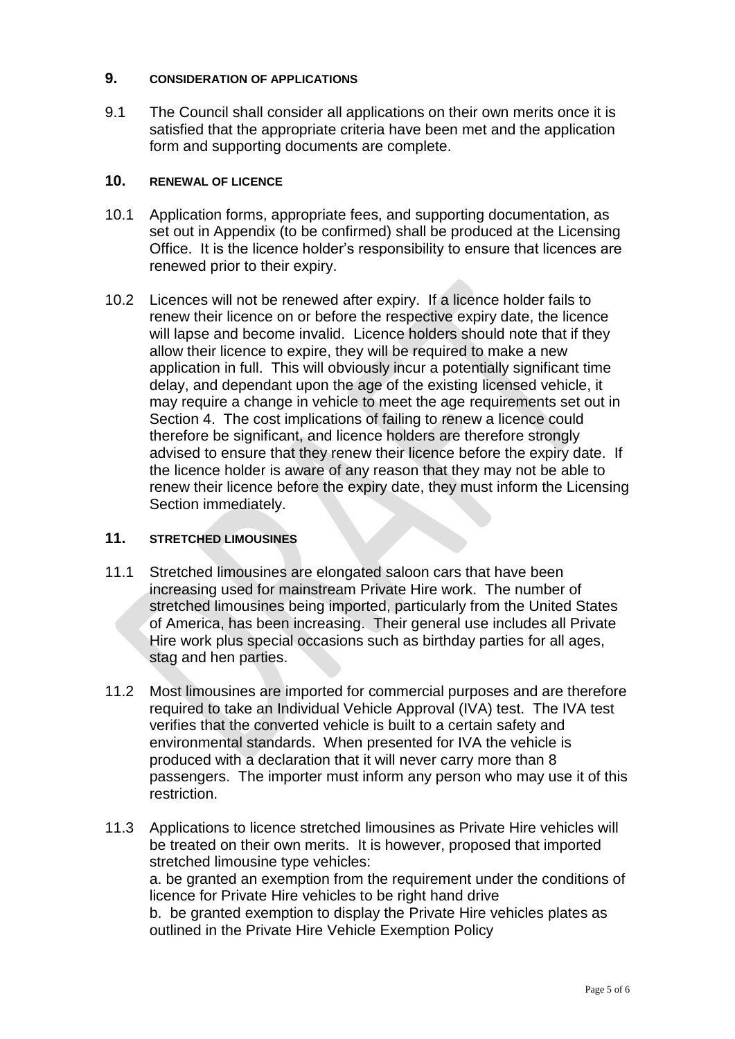### **9. CONSIDERATION OF APPLICATIONS**

9.1 The Council shall consider all applications on their own merits once it is satisfied that the appropriate criteria have been met and the application form and supporting documents are complete.

### **10. RENEWAL OF LICENCE**

- 10.1 Application forms, appropriate fees, and supporting documentation, as set out in Appendix (to be confirmed) shall be produced at the Licensing Office. It is the licence holder's responsibility to ensure that licences are renewed prior to their expiry.
- 10.2 Licences will not be renewed after expiry. If a licence holder fails to renew their licence on or before the respective expiry date, the licence will lapse and become invalid. Licence holders should note that if they allow their licence to expire, they will be required to make a new application in full. This will obviously incur a potentially significant time delay, and dependant upon the age of the existing licensed vehicle, it may require a change in vehicle to meet the age requirements set out in Section 4. The cost implications of failing to renew a licence could therefore be significant, and licence holders are therefore strongly advised to ensure that they renew their licence before the expiry date. If the licence holder is aware of any reason that they may not be able to renew their licence before the expiry date, they must inform the Licensing Section immediately.

### **11. STRETCHED LIMOUSINES**

- 11.1 Stretched limousines are elongated saloon cars that have been increasing used for mainstream Private Hire work. The number of stretched limousines being imported, particularly from the United States of America, has been increasing. Their general use includes all Private Hire work plus special occasions such as birthday parties for all ages, stag and hen parties.
- 11.2 Most limousines are imported for commercial purposes and are therefore required to take an Individual Vehicle Approval (IVA) test. The IVA test verifies that the converted vehicle is built to a certain safety and environmental standards. When presented for IVA the vehicle is produced with a declaration that it will never carry more than 8 passengers. The importer must inform any person who may use it of this restriction.
- 11.3 Applications to licence stretched limousines as Private Hire vehicles will be treated on their own merits. It is however, proposed that imported stretched limousine type vehicles: a. be granted an exemption from the requirement under the conditions of licence for Private Hire vehicles to be right hand drive b. be granted exemption to display the Private Hire vehicles plates as outlined in the Private Hire Vehicle Exemption Policy